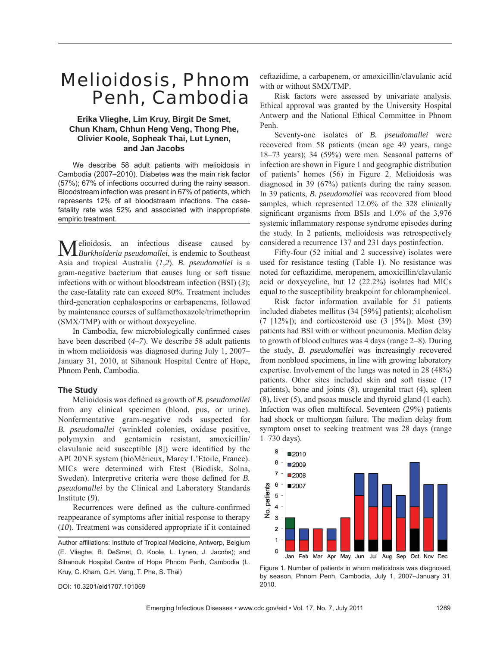# Melioidosis, Phnom Penh, Cambodia

## **Erika Vlieghe, Lim Kruy, Birgit De Smet, Chun Kham, Chhun Heng Veng, Thong Phe, Olivier Koole, Sopheak Thai, Lut Lynen, and Jan Jacobs**

We describe 58 adult patients with melioidosis in Cambodia (2007–2010). Diabetes was the main risk factor (57%); 67% of infections occurred during the rainy season. Bloodstream infection was present in 67% of patients, which represents 12% of all bloodstream infections. The casefatality rate was 52% and associated with inappropriate empiric treatment.

Melioidosis, an infectious disease caused by *Burkholderia pseudomallei*, is endemic to Southeast Asia and tropical Australia (*1,2*). *B. pseudomallei* is a gram-negative bacterium that causes lung or soft tissue infections with or without bloodstream infection (BSI) (*3*); the case-fatality rate can exceed 80%. Treatment includes third-generation cephalosporins or carbapenems, followed by maintenance courses of sulfamethoxazole/trimethoprim (SMX/TMP) with or without doxycycline.

In Cambodia, few microbiologically confirmed cases have been described (*4–7*). We describe 58 adult patients in whom melioidosis was diagnosed during July 1, 2007– January 31, 2010, at Sihanouk Hospital Centre of Hope, Phnom Penh, Cambodia.

## **The Study**

Melioidosis was defi ned as growth of *B. pseudomallei* from any clinical specimen (blood, pus, or urine). Nonfermentative gram-negative rods suspected for *B. pseudomallei* (wrinkled colonies, oxidase positive, polymyxin and gentamicin resistant, amoxicillin/ clavulanic acid susceptible  $[8]$ ) were identified by the API 20NE system (bioMérieux, Marcy L'Etoile, France). MICs were determined with Etest (Biodisk, Solna, Sweden). Interpretive criteria were those defined for *B*. *pseudomallei* by the Clinical and Laboratory Standards Institute (*9*).

Recurrences were defined as the culture-confirmed reappearance of symptoms after initial response to therapy (*10*). Treatment was considered appropriate if it contained

DOI: 10.3201/eid1707.101069

ceftazidime, a carbapenem, or amoxicillin/clavulanic acid with or without SMX/TMP.

Risk factors were assessed by univariate analysis. Ethical approval was granted by the University Hospital Antwerp and the National Ethical Committee in Phnom Penh.

Seventy-one isolates of *B. pseudomallei* were recovered from 58 patients (mean age 49 years, range 18–73 years); 34 (59%) were men. Seasonal patterns of infection are shown in Figure 1 and geographic distribution of patients' homes (56) in Figure 2. Melioidosis was diagnosed in 39 (67%) patients during the rainy season. In 39 patients, *B. pseudomallei* was recovered from blood samples, which represented 12.0% of the 328 clinically significant organisms from BSIs and  $1.0\%$  of the 3,976 systemic inflammatory response syndrome episodes during the study. In 2 patients, melioidosis was retrospectively considered a recurrence 137 and 231 days postinfection.

Fifty-four (52 initial and 2 successive) isolates were used for resistance testing (Table 1). No resistance was noted for ceftazidime, meropenem, amoxicillin/clavulanic acid or doxycycline, but 12 (22.2%) isolates had MICs equal to the susceptibility breakpoint for chloramphenicol.

Risk factor information available for 51 patients included diabetes mellitus (34 [59%] patients); alcoholism  $(7 \t[12\%])$ ; and corticosteroid use  $(3 \t[5\%])$ . Most  $(39)$ patients had BSI with or without pneumonia. Median delay to growth of blood cultures was 4 days (range 2–8). During the study, *B. pseudomallei* was increasingly recovered from nonblood specimens, in line with growing laboratory expertise. Involvement of the lungs was noted in 28 (48%) patients. Other sites included skin and soft tissue (17 patients), bone and joints (8), urogenital tract (4), spleen (8), liver (5), and psoas muscle and thyroid gland (1 each). Infection was often multifocal. Seventeen (29%) patients had shock or multiorgan failure. The median delay from symptom onset to seeking treatment was 28 days (range 1–730 days).



Figure 1. Number of patients in whom melioidosis was diagnosed, by season, Phnom Penh, Cambodia, July 1, 2007–January 31, 2010.

Author affiliations: Institute of Tropical Medicine, Antwerp, Belgium (E. Vlieghe, B. DeSmet, O. Koole, L. Lynen, J. Jacobs); and Sihanouk Hospital Centre of Hope Phnom Penh, Cambodia (L. Kruy, C. Kham, C.H. Veng, T. Phe, S. Thai)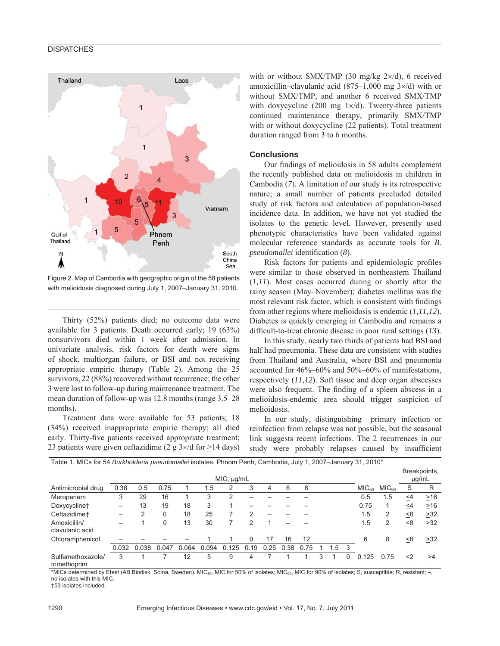### **DISPATCHES**



Figure 2. Map of Cambodia with geographic origin of the 58 patients with melioidosis diagnosed during July 1, 2007–January 31, 2010.

Thirty (52%) patients died; no outcome data were available for 3 patients. Death occurred early; 19 (63%) nonsurvivors died within 1 week after admission. In univariate analysis, risk factors for death were signs of shock, multiorgan failure, or BSI and not receiving appropriate empiric therapy (Table 2). Among the 25 survivors, 22 (88%) recovered without recurrence; the other 3 were lost to follow-up during maintenance treatment. The mean duration of follow-up was 12.8 months (range 3.5–28 months).

Treatment data were available for 53 patients; 18 (34%) received inappropriate empiric therapy; all died early. Thirty-five patients received appropriate treatment; 23 patients were given ceftazidime (2 g  $3 \times$ /d for  $\geq$ 14 days)

with or without SMX/TMP (30 mg/kg  $2\times$ /d), 6 received amoxicillin–clavulanic acid (875–1,000 mg 3×/d) with or without SMX/TMP, and another 6 received SMX/TMP with doxycycline (200 mg  $1 \times/d$ ). Twenty-three patients continued maintenance therapy, primarily SMX/TMP with or without doxycycline (22 patients). Total treatment duration ranged from 3 to 6 months.

#### **Conclusions**

Our findings of melioidosis in 58 adults complement the recently published data on melioidosis in children in Cambodia (*7*). A limitation of our study is its retrospective nature; a small number of patients precluded detailed study of risk factors and calculation of population-based incidence data. In addition, we have not yet studied the isolates to the genetic level. However, presently used phenotypic characteristics have been validated against molecular reference standards as accurate tools for *B. pseudomallei* identification (8).

Risk factors for patients and epidemiologic profiles were similar to those observed in northeastern Thailand (*1,11*). Most cases occurred during or shortly after the rainy season (May–November); diabetes mellitus was the most relevant risk factor, which is consistent with findings from other regions where melioidosis is endemic (*1,11,12*). Diabetes is quickly emerging in Cambodia and remains a difficult-to-treat chronic disease in poor rural settings (13).

In this study, nearly two thirds of patients had BSI and half had pneumonia. These data are consistent with studies from Thailand and Australia, where BSI and pneumonia accounted for 46%–60% and 50%–60% of manifestations, respectively (*11,12*). Soft tissue and deep organ abscesses were also frequent. The finding of a spleen abscess in a melioidosis-endemic area should trigger suspicion of melioidosis.

In our study, distinguishing primary infection or reinfection from relapse was not possible, but the seasonal link suggests recent infections. The 2 recurrences in our study were probably relapses caused by insufficient

| Table 1. MICs for 54 Burkholderia pseudomallei isolates, Phnom Penh, Cambodia, July 1, 2007–January 31, 2010* |                          |       |          |       |       |       |               |      |      |                       |   |     |    |                   |                   |     |           |
|---------------------------------------------------------------------------------------------------------------|--------------------------|-------|----------|-------|-------|-------|---------------|------|------|-----------------------|---|-----|----|-------------------|-------------------|-----|-----------|
|                                                                                                               | $MIC, \mu g/mL$          |       |          |       |       |       |               |      |      | Breakpoints,<br>µg/mL |   |     |    |                   |                   |     |           |
| Antimicrobial drug                                                                                            | 0.38                     | 0.5   | 0.75     |       | 1.5   | 2     | 3             | 4    | 6    | 8                     |   |     |    | MIC <sub>50</sub> | MIC <sub>90</sub> | S   | R         |
| Meropenem                                                                                                     | 3                        | 29    | 16       |       | 3     | 2     |               |      |      |                       |   |     |    | 0.5               | 1.5               | <4  | $\geq$ 16 |
| Doxycycline+                                                                                                  | $\overline{\phantom{0}}$ | 13    | 19       | 18    | 3     |       |               |      |      |                       |   |     |    | 0.75              |                   | <4  | $\geq$ 16 |
| Ceftazidime <sup>+</sup>                                                                                      | $\overline{\phantom{0}}$ |       | 0        | 18    | 25    |       | $\mathcal{P}$ |      |      |                       |   |     |    | 1.5               | 2                 | <8  | >32       |
| Amoxicillin/<br>clavulanic acid                                                                               |                          |       | $\Omega$ | 13    | 30    |       | $\mathcal{P}$ |      |      |                       |   |     |    | 1.5               | 2                 | < 8 | >32       |
| Chloramphenicol                                                                                               |                          |       |          |       |       |       | 0             | 17   | 16   | 12                    |   |     |    | 6                 | 8                 | <8  | >32       |
|                                                                                                               | 0.032                    | 0.038 | 0.047    | 0.064 | 0.094 | 0.125 | 0.19          | 0.25 | 0.38 | 0.75                  |   | 1.5 | -3 |                   |                   |     |           |
| Sulfamethoxazole/<br>trimethoprim                                                                             | 3                        |       |          | 12    | 5     | 9     | 4             |      |      |                       | 3 |     | 0  | 0.125             | 0.75              | <2  | >4        |

\*MICs determined by Etest (AB Biodisk, Solna, Sweden). MIC<sub>50</sub>, MIC for 50% of isolates; MIC<sub>90</sub>, MIC for 90% of isolates; S, susceptible; R, resistant; -, no isolates with this MIC.

†53 isolates included.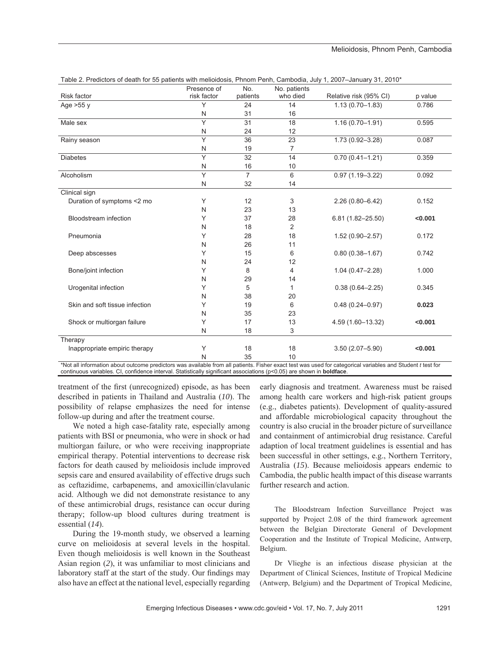|                                | Presence of  | No.            | No. patients   |                        |         |
|--------------------------------|--------------|----------------|----------------|------------------------|---------|
| Risk factor                    | risk factor  | patients       | who died       | Relative risk (95% CI) | p value |
| Age $>55$ y                    | Υ            | 24             | 14             | $1.13(0.70 - 1.83)$    | 0.786   |
|                                | N            | 31             | 16             |                        |         |
| Male sex                       | Y            | 31             | 18             | $1.16(0.70 - 1.91)$    | 0.595   |
|                                | N            | 24             | 12             |                        |         |
| Rainy season                   | Y            | 36             | 23             | $1.73(0.92 - 3.28)$    | 0.087   |
|                                | N            | 19             | $\overline{7}$ |                        |         |
| <b>Diabetes</b>                | Y            | 32             | 14             | $0.70(0.41 - 1.21)$    | 0.359   |
|                                | N            | 16             | 10             |                        |         |
| Alcoholism                     | Y            | $\overline{7}$ | 6              | $0.97(1.19 - 3.22)$    | 0.092   |
|                                | N            | 32             | 14             |                        |         |
| Clinical sign                  |              |                |                |                        |         |
| Duration of symptoms <2 mo     | Y            | 12             | 3              | $2.26(0.80 - 6.42)$    | 0.152   |
|                                | N            | 23             | 13             |                        |         |
| <b>Bloodstream</b> infection   | Υ            | 37             | 28             | $6.81(1.82 - 25.50)$   | < 0.001 |
|                                | N            | 18             | $\overline{2}$ |                        |         |
| Pneumonia                      | Υ            | 28             | 18             | $1.52(0.90 - 2.57)$    | 0.172   |
|                                | N            | 26             | 11             |                        |         |
| Deep abscesses                 | Υ            | 15             | 6              | $0.80(0.38 - 1.67)$    | 0.742   |
|                                | N            | 24             | 12             |                        |         |
| Bone/joint infection           | Υ            | 8              | 4              | $1.04(0.47 - 2.28)$    | 1.000   |
|                                | N            | 29             | 14             |                        |         |
| Urogenital infection           | Υ            | 5              | 1              | $0.38(0.64 - 2.25)$    | 0.345   |
|                                | N            | 38             | 20             |                        |         |
| Skin and soft tissue infection | Υ            | 19             | 6              | $0.48(0.24 - 0.97)$    | 0.023   |
|                                | N            | 35             | 23             |                        |         |
| Shock or multiorgan failure    | Y            | 17             | 13             | 4.59 (1.60-13.32)      | < 0.001 |
|                                | $\mathsf{N}$ | 18             | 3              |                        |         |
| Therapy                        |              |                |                |                        |         |
| Inappropriate empiric therapy  | Υ            | 18             | 18             | $3.50(2.07 - 5.90)$    | < 0.001 |
|                                | N            | 35             | 10             |                        |         |

\*Not all information about outcome predictors was available from all patients. Fisher exact test was used for categorical variables and Student *t* test for continuous variables. CI, confidence interval. Statistically significant associations (p<0.05) are shown in **boldface**.

treatment of the first (unrecognized) episode, as has been described in patients in Thailand and Australia (*10*). The possibility of relapse emphasizes the need for intense follow-up during and after the treatment course.

We noted a high case-fatality rate, especially among patients with BSI or pneumonia, who were in shock or had multiorgan failure, or who were receiving inappropriate empirical therapy. Potential interventions to decrease risk factors for death caused by melioidosis include improved sepsis care and ensured availability of effective drugs such as ceftazidime, carbapenems, and amoxicillin/clavulanic acid. Although we did not demonstrate resistance to any of these antimicrobial drugs, resistance can occur during therapy; follow-up blood cultures during treatment is essential (*14*).

During the 19-month study, we observed a learning curve on melioidosis at several levels in the hospital. Even though melioidosis is well known in the Southeast Asian region (*2*), it was unfamiliar to most clinicians and laboratory staff at the start of the study. Our findings may also have an effect at the national level, especially regarding early diagnosis and treatment. Awareness must be raised among health care workers and high-risk patient groups (e.g., diabetes patients). Development of quality-assured and affordable microbiological capacity throughout the country is also crucial in the broader picture of surveillance and containment of antimicrobial drug resistance. Careful adaption of local treatment guidelines is essential and has been successful in other settings, e.g., Northern Territory, Australia (*15*). Because melioidosis appears endemic to Cambodia, the public health impact of this disease warrants further research and action.

The Bloodstream Infection Surveillance Project was supported by Project 2.08 of the third framework agreement between the Belgian Directorate General of Development Cooperation and the Institute of Tropical Medicine, Antwerp, Belgium.

Dr Vlieghe is an infectious disease physician at the Department of Clinical Sciences, Institute of Tropical Medicine (Antwerp, Belgium) and the Department of Tropical Medicine,